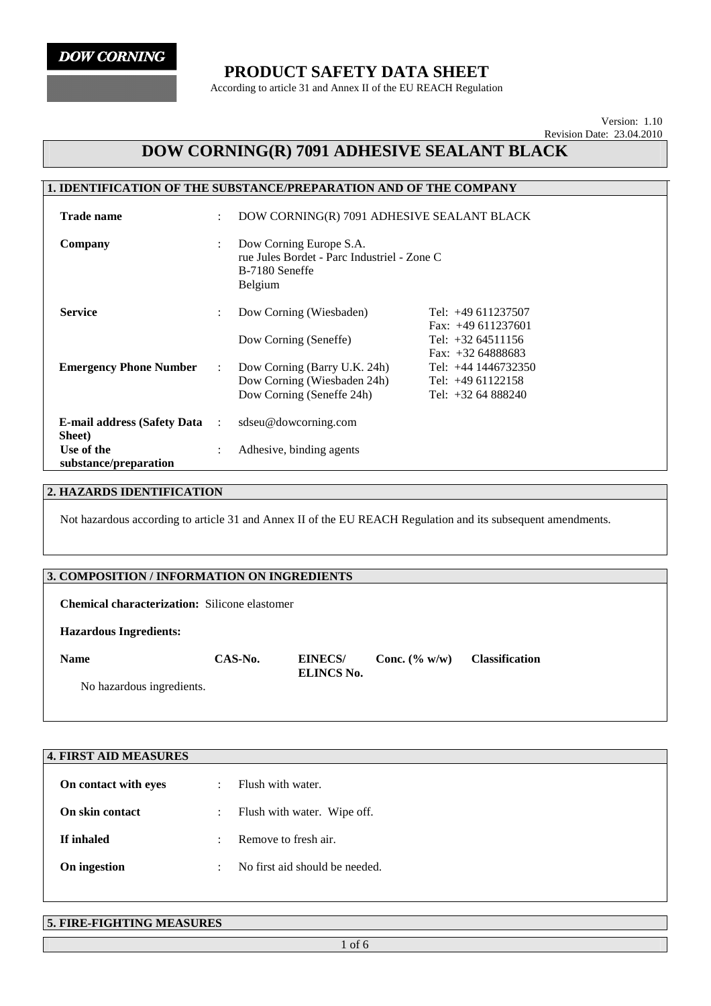**DOW CORNING** 

### **PRODUCT SAFETY DATA SHEET**

According to article 31 and Annex II of the EU REACH Regulation

Version: 1.10 Revision Date: 23.04.2010

## **DOW CORNING(R) 7091 ADHESIVE SEALANT BLACK**

#### **1. IDENTIFICATION OF THE SUBSTANCE/PREPARATION AND OF THE COMPANY Trade name** : DOW CORNING(R) 7091 ADHESIVE SEALANT BLACK **Company** : Dow Corning Europe S.A. rue Jules Bordet - Parc Industriel - Zone C B-7180 Seneffe Belgium **Service** : Dow Corning (Wiesbaden) Tel: +49 611237507 Fax: +49 611237601 Dow Corning (Seneffe) Tel: +32 64511156 Fax: +32 64888683 **Emergency Phone Number** : Dow Corning (Barry U.K. 24h) Dow Corning (Wiesbaden 24h) Dow Corning (Seneffe 24h) Tel: +44 1446732350 Tel: +49 61122158 Tel: +32 64 888240 **E-mail address (Safety Data Sheet)**  : sdseu@dowcorning.com **Use of the substance/preparation**  : Adhesive, binding agents

#### **2. HAZARDS IDENTIFICATION**

Not hazardous according to article 31 and Annex II of the EU REACH Regulation and its subsequent amendments.

#### **3. COMPOSITION / INFORMATION ON INGREDIENTS**

**Chemical characterization:** Silicone elastomer

#### **Hazardous Ingredients:**

**Name CAS-No. EINECS/ ELINCS No.** 

**Conc. (% w/w) Classification** 

No hazardous ingredients.

| <b>4. FIRST AID MEASURES</b> |           |                                |
|------------------------------|-----------|--------------------------------|
| On contact with eyes         | ÷         | Flush with water.              |
| On skin contact              | ÷         | Flush with water. Wipe off.    |
| If inhaled                   | $\bullet$ | Remove to fresh air.           |
| On ingestion                 | $\cdot$   | No first aid should be needed. |
|                              |           |                                |

#### **5. FIRE-FIGHTING MEASURES**

1 of 6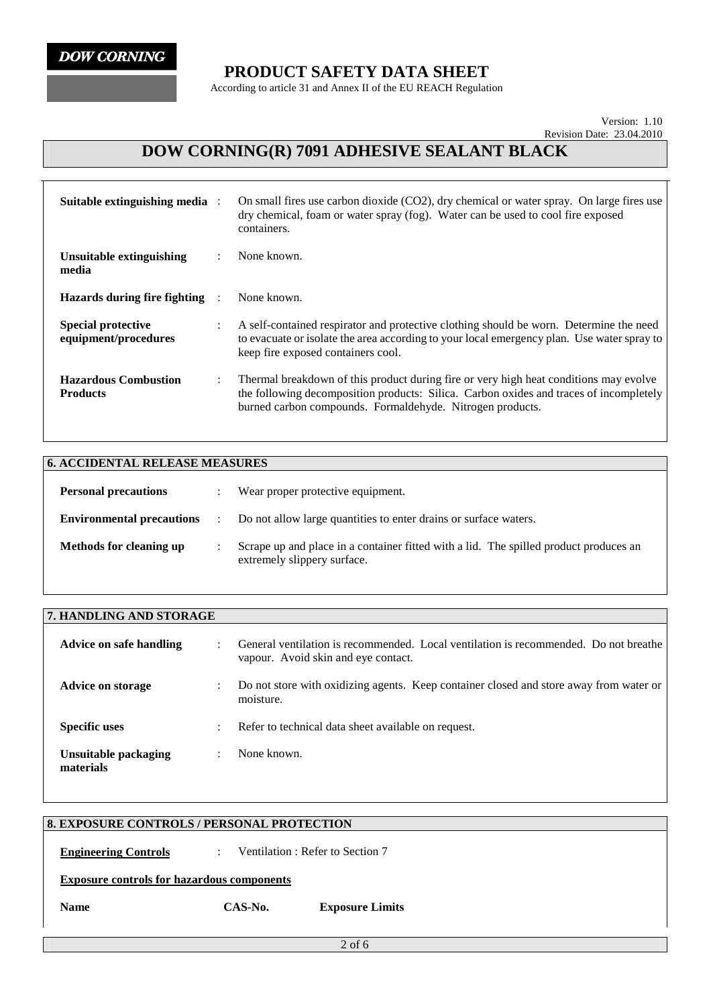## **PRODUCT SAFETY DATA SHEET**

According to article 31 and Annex II of the EU REACH Regulation

Version: 1.10 Revision Date: 23.04.2010

# **DOW CORNING(R) 7091 ADHESIVE SEALANT BLACK**

| Suitable extinguishing media :                    |                      | On small fires use carbon dioxide (CO2), dry chemical or water spray. On large fires use<br>dry chemical, foam or water spray (fog). Water can be used to cool fire exposed<br>containers.                                                   |  |
|---------------------------------------------------|----------------------|----------------------------------------------------------------------------------------------------------------------------------------------------------------------------------------------------------------------------------------------|--|
| Unsuitable extinguishing<br>media                 | $\ddot{\phantom{a}}$ | None known.                                                                                                                                                                                                                                  |  |
| Hazards during fire fighting                      |                      | None known.                                                                                                                                                                                                                                  |  |
| <b>Special protective</b><br>equipment/procedures | $\ddot{\phantom{a}}$ | A self-contained respirator and protective clothing should be worn. Determine the need<br>to evacuate or isolate the area according to your local emergency plan. Use water spray to<br>keep fire exposed containers cool.                   |  |
| <b>Hazardous Combustion</b><br><b>Products</b>    | $\ddot{\phantom{a}}$ | Thermal breakdown of this product during fire or very high heat conditions may evolve<br>the following decomposition products: Silica. Carbon oxides and traces of incompletely<br>burned carbon compounds. Formaldehyde. Nitrogen products. |  |

| <b>6. ACCIDENTAL RELEASE MEASURES</b> |                |                                                                                                                      |
|---------------------------------------|----------------|----------------------------------------------------------------------------------------------------------------------|
| <b>Personal precautions</b>           |                | Wear proper protective equipment.                                                                                    |
| <b>Environmental precautions</b>      | $\mathbb{R}^n$ | Do not allow large quantities to enter drains or surface waters.                                                     |
| <b>Methods for cleaning up</b>        |                | Scrape up and place in a container fitted with a lid. The spilled product produces an<br>extremely slippery surface. |

| 7. HANDLING AND STORAGE           |    |                                                                                                                             |  |  |
|-----------------------------------|----|-----------------------------------------------------------------------------------------------------------------------------|--|--|
| Advice on safe handling           | ٠  | General ventilation is recommended. Local ventilation is recommended. Do not breathe<br>vapour. Avoid skin and eye contact. |  |  |
| <b>Advice on storage</b>          | ٠  | Do not store with oxidizing agents. Keep container closed and store away from water or<br>moisture.                         |  |  |
| <b>Specific uses</b>              | ÷. | Refer to technical data sheet available on request.                                                                         |  |  |
| Unsuitable packaging<br>materials | ٠  | None known.                                                                                                                 |  |  |

## **8. EXPOSURE CONTROLS / PERSONAL PROTECTION**

**Engineering Controls** : Ventilation : Refer to Section 7

**Exposure controls for hazardous components**

**Name CAS-No. Exposure Limits**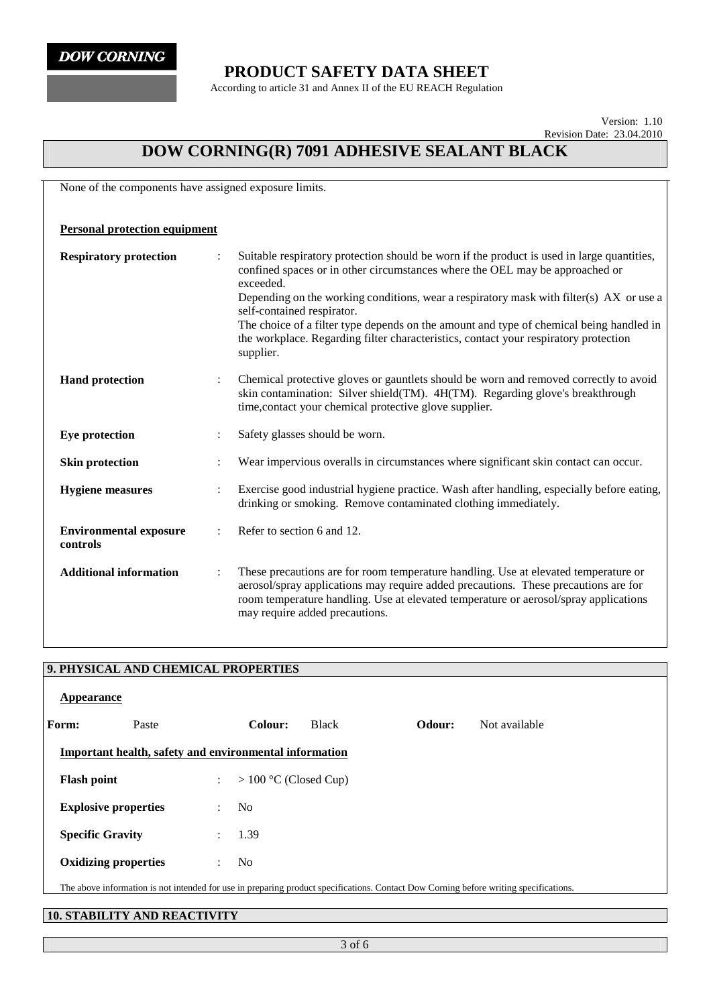**DOW CORNING** 

### **PRODUCT SAFETY DATA SHEET**

According to article 31 and Annex II of the EU REACH Regulation

Version: 1.10 Revision Date: 23.04.2010

# **DOW CORNING(R) 7091 ADHESIVE SEALANT BLACK**

None of the components have assigned exposure limits.

| <b>Personal protection equipment</b>      |                                                                                                                                                                                                                                                                                                                                                                                                                                                                                                                  |
|-------------------------------------------|------------------------------------------------------------------------------------------------------------------------------------------------------------------------------------------------------------------------------------------------------------------------------------------------------------------------------------------------------------------------------------------------------------------------------------------------------------------------------------------------------------------|
| <b>Respiratory protection</b>             | Suitable respiratory protection should be worn if the product is used in large quantities,<br>confined spaces or in other circumstances where the OEL may be approached or<br>exceeded.<br>Depending on the working conditions, wear a respiratory mask with filter(s) AX or use a<br>self-contained respirator.<br>The choice of a filter type depends on the amount and type of chemical being handled in<br>the workplace. Regarding filter characteristics, contact your respiratory protection<br>supplier. |
| <b>Hand protection</b>                    | Chemical protective gloves or gauntlets should be worn and removed correctly to avoid<br>skin contamination: Silver shield(TM). 4H(TM). Regarding glove's breakthrough<br>time, contact your chemical protective glove supplier.                                                                                                                                                                                                                                                                                 |
| Eye protection                            | Safety glasses should be worn.                                                                                                                                                                                                                                                                                                                                                                                                                                                                                   |
| <b>Skin protection</b>                    | Wear impervious overalls in circumstances where significant skin contact can occur.                                                                                                                                                                                                                                                                                                                                                                                                                              |
| <b>Hygiene</b> measures                   | Exercise good industrial hygiene practice. Wash after handling, especially before eating,<br>drinking or smoking. Remove contaminated clothing immediately.                                                                                                                                                                                                                                                                                                                                                      |
| <b>Environmental exposure</b><br>controls | Refer to section 6 and 12.                                                                                                                                                                                                                                                                                                                                                                                                                                                                                       |
| <b>Additional information</b>             | These precautions are for room temperature handling. Use at elevated temperature or<br>aerosol/spray applications may require added precautions. These precautions are for<br>room temperature handling. Use at elevated temperature or aerosol/spray applications<br>may require added precautions.                                                                                                                                                                                                             |

|                         | 9. PHYSICAL AND CHEMICAL PROPERTIES                           |                      |                         |              |        |                                                                                                                                       |
|-------------------------|---------------------------------------------------------------|----------------------|-------------------------|--------------|--------|---------------------------------------------------------------------------------------------------------------------------------------|
| Appearance              |                                                               |                      |                         |              |        |                                                                                                                                       |
| Form:                   | Paste                                                         |                      | Colour:                 | <b>Black</b> | Odour: | Not available                                                                                                                         |
|                         | <b>Important health, safety and environmental information</b> |                      |                         |              |        |                                                                                                                                       |
| <b>Flash point</b>      |                                                               | $\ddot{\phantom{a}}$ | $> 100$ °C (Closed Cup) |              |        |                                                                                                                                       |
|                         | <b>Explosive properties</b>                                   | $\ddot{\phantom{0}}$ | N <sub>0</sub>          |              |        |                                                                                                                                       |
| <b>Specific Gravity</b> |                                                               | $\mathbf{L}$         | 1.39                    |              |        |                                                                                                                                       |
|                         | <b>Oxidizing properties</b>                                   | $\ddot{\phantom{0}}$ | N <sub>0</sub>          |              |        |                                                                                                                                       |
|                         |                                                               |                      |                         |              |        | The above information is not intended for use in preparing product specifications. Contact Dow Corning before writing specifications. |

### **10. STABILITY AND REACTIVITY**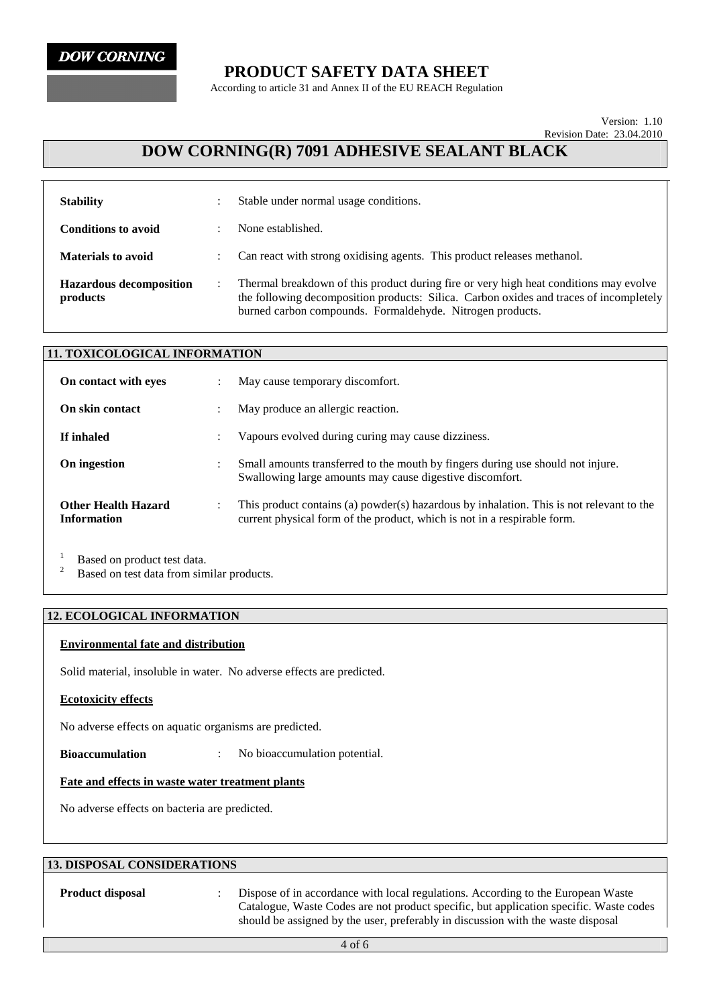

## **PRODUCT SAFETY DATA SHEET**

According to article 31 and Annex II of the EU REACH Regulation

#### Version: 1.10 Revision Date: 23.04.2010

## **DOW CORNING(R) 7091 ADHESIVE SEALANT BLACK**

| <b>Stability</b>                           |               | Stable under normal usage conditions.                                                                                                                                                                                                        |
|--------------------------------------------|---------------|----------------------------------------------------------------------------------------------------------------------------------------------------------------------------------------------------------------------------------------------|
| <b>Conditions to avoid</b>                 |               | None established.                                                                                                                                                                                                                            |
| <b>Materials to avoid</b>                  | $\mathcal{I}$ | Can react with strong oxidising agents. This product releases methanol.                                                                                                                                                                      |
| <b>Hazardous decomposition</b><br>products |               | Thermal breakdown of this product during fire or very high heat conditions may evolve<br>the following decomposition products: Silica. Carbon oxides and traces of incompletely<br>burned carbon compounds. Formaldehyde. Nitrogen products. |

| <b>11. TOXICOLOGICAL INFORMATION</b>             |           |                                                                                                                                                                      |
|--------------------------------------------------|-----------|----------------------------------------------------------------------------------------------------------------------------------------------------------------------|
| On contact with eves                             |           | May cause temporary discomfort.                                                                                                                                      |
| On skin contact                                  |           | May produce an allergic reaction.                                                                                                                                    |
| If inhaled                                       |           | Vapours evolved during curing may cause dizziness.                                                                                                                   |
| On ingestion                                     |           | Small amounts transferred to the mouth by fingers during use should not injure.<br>Swallowing large amounts may cause digestive discomfort.                          |
| <b>Other Health Hazard</b><br><b>Information</b> | $\bullet$ | This product contains (a) powder(s) hazardous by inhalation. This is not relevant to the<br>current physical form of the product, which is not in a respirable form. |

<sup>1</sup> Based on product test data.<br><sup>2</sup> Based on test data from similar products.

#### **12. ECOLOGICAL INFORMATION**

#### **Environmental fate and distribution**

Solid material, insoluble in water. No adverse effects are predicted.

#### **Ecotoxicity effects**

No adverse effects on aquatic organisms are predicted.

**Bioaccumulation** : No bioaccumulation potential.

#### **Fate and effects in waste water treatment plants**

No adverse effects on bacteria are predicted.

#### **13. DISPOSAL CONSIDERATIONS**

**Product disposal :** Dispose of in accordance with local regulations. According to the European Waste Catalogue, Waste Codes are not product specific, but application specific. Waste codes should be assigned by the user, preferably in discussion with the waste disposal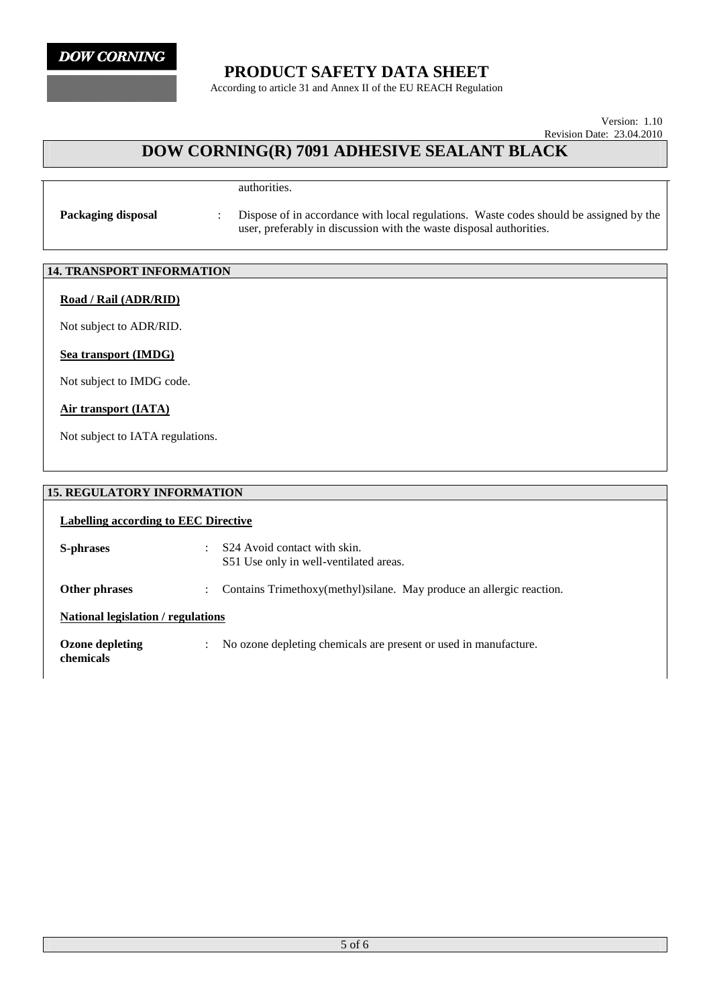

### **PRODUCT SAFETY DATA SHEET**

According to article 31 and Annex II of the EU REACH Regulation

Version: 1.10 Revision Date: 23.04.2010

## **DOW CORNING(R) 7091 ADHESIVE SEALANT BLACK**

authorities.

**Packaging disposal** : Dispose of in accordance with local regulations. Waste codes should be assigned by the user, preferably in discussion with the waste disposal authorities.

### **14. TRANSPORT INFORMATION**

#### **Road / Rail (ADR/RID)**

Not subject to ADR/RID.

#### **Sea transport (IMDG)**

Not subject to IMDG code.

#### **Air transport (IATA)**

Not subject to IATA regulations.

#### **15. REGULATORY INFORMATION**

| Labelling according to EEC Directive |                                                                                    |  |  |
|--------------------------------------|------------------------------------------------------------------------------------|--|--|
| S-phrases                            | S <sub>24</sub> Avoid contact with skin.<br>S51 Use only in well-ventilated areas. |  |  |
| Other phrases                        | Contains Trimethoxy(methyl) silane. May produce an allergic reaction.              |  |  |
| National legislation / regulations   |                                                                                    |  |  |
| Ozone depleting<br>chemicals         | No ozone depleting chemicals are present or used in manufacture.                   |  |  |